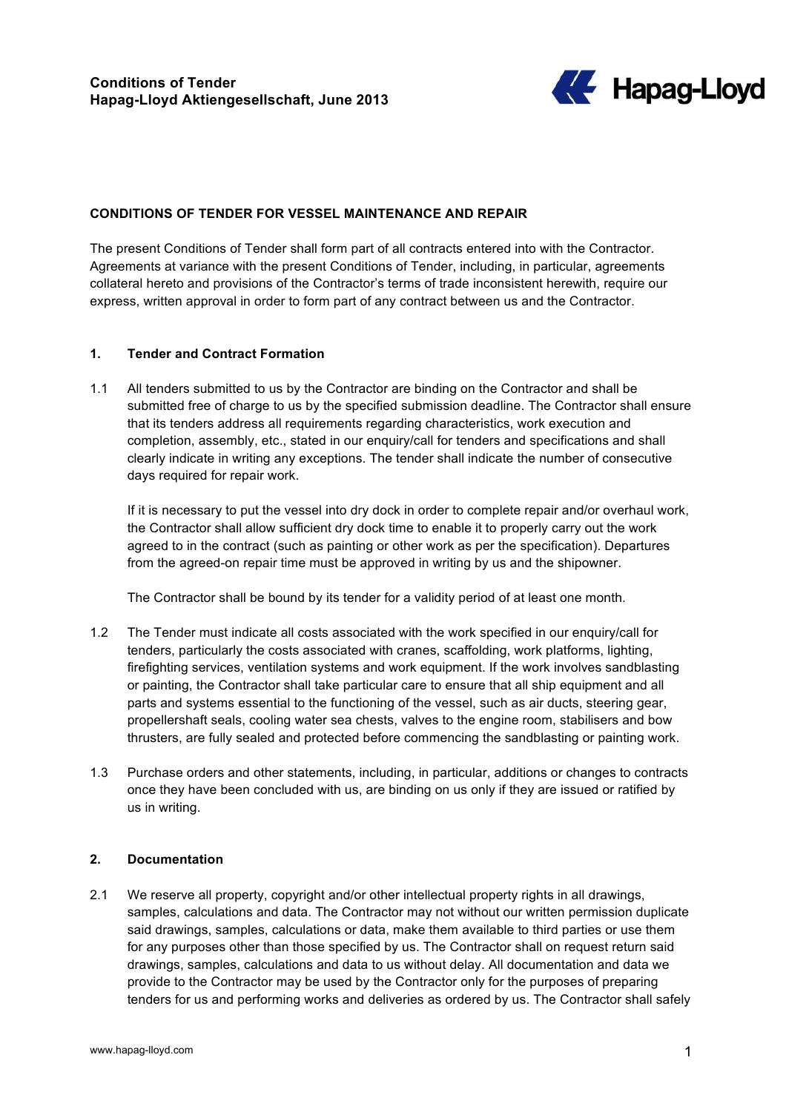

#### **CONDITIONS OF TENDER FOR VESSEL MAINTENANCE AND REPAIR**

The present Conditions of Tender shall form part of all contracts entered into with the Contractor. Agreements at variance with the present Conditions of Tender, including, in particular, agreements collateral hereto and provisions of the Contractor's terms of trade inconsistent herewith, require our express, written approval in order to form part of any contract between us and the Contractor.

#### **1. Tender and Contract Formation**

1.1 All tenders submitted to us by the Contractor are binding on the Contractor and shall be submitted free of charge to us by the specified submission deadline. The Contractor shall ensure that its tenders address all requirements regarding characteristics, work execution and completion, assembly, etc., stated in our enquiry/call for tenders and specifications and shall clearly indicate in writing any exceptions. The tender shall indicate the number of consecutive days required for repair work.

If it is necessary to put the vessel into dry dock in order to complete repair and/or overhaul work, the Contractor shall allow sufficient dry dock time to enable it to properly carry out the work agreed to in the contract (such as painting or other work as per the specification). Departures from the agreed-on repair time must be approved in writing by us and the shipowner.

The Contractor shall be bound by its tender for a validity period of at least one month.

- 1.2 The Tender must indicate all costs associated with the work specified in our enquiry/call for tenders, particularly the costs associated with cranes, scaffolding, work platforms, lighting, firefighting services, ventilation systems and work equipment. If the work involves sandblasting or painting, the Contractor shall take particular care to ensure that all ship equipment and all parts and systems essential to the functioning of the vessel, such as air ducts, steering gear, propellershaft seals, cooling water sea chests, valves to the engine room, stabilisers and bow thrusters, are fully sealed and protected before commencing the sandblasting or painting work.
- 1.3 Purchase orders and other statements, including, in particular, additions or changes to contracts once they have been concluded with us, are binding on us only if they are issued or ratified by us in writing.

#### **2. Documentation**

2.1 We reserve all property, copyright and/or other intellectual property rights in all drawings, samples, calculations and data. The Contractor may not without our written permission duplicate said drawings, samples, calculations or data, make them available to third parties or use them for any purposes other than those specified by us. The Contractor shall on request return said drawings, samples, calculations and data to us without delay. All documentation and data we provide to the Contractor may be used by the Contractor only for the purposes of preparing tenders for us and performing works and deliveries as ordered by us. The Contractor shall safely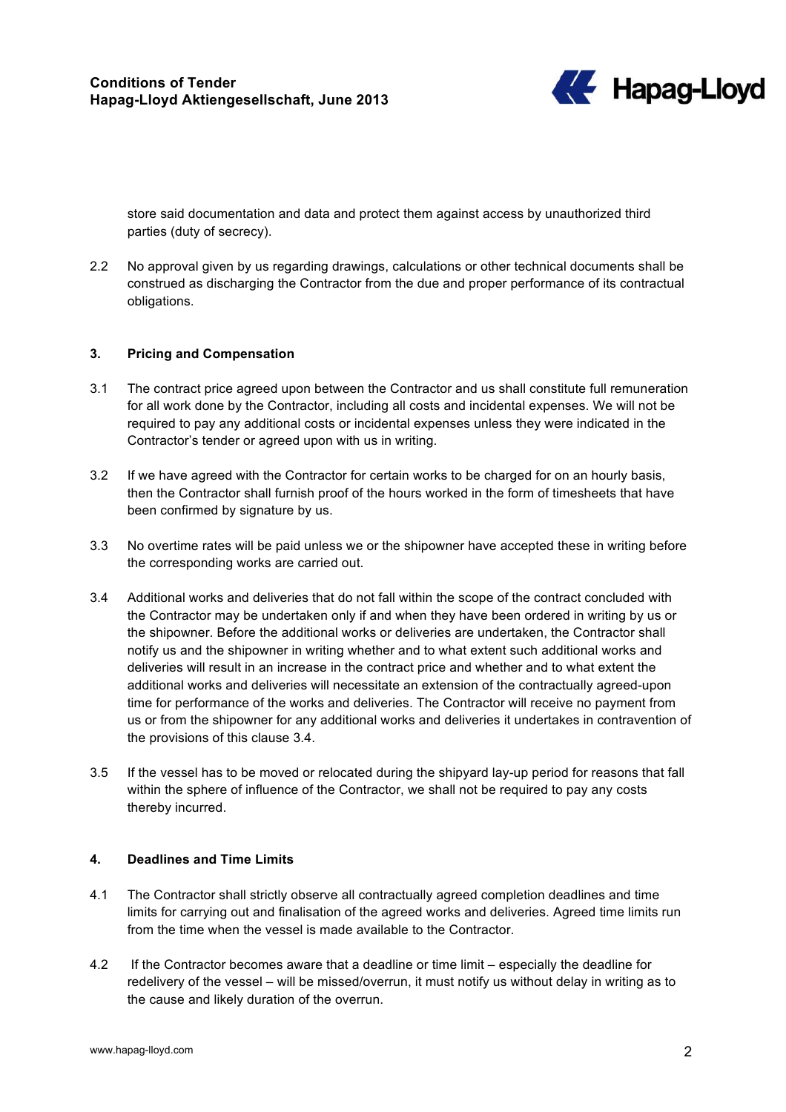

store said documentation and data and protect them against access by unauthorized third parties (duty of secrecy).

2.2 No approval given by us regarding drawings, calculations or other technical documents shall be construed as discharging the Contractor from the due and proper performance of its contractual obligations.

# **3. Pricing and Compensation**

- 3.1 The contract price agreed upon between the Contractor and us shall constitute full remuneration for all work done by the Contractor, including all costs and incidental expenses. We will not be required to pay any additional costs or incidental expenses unless they were indicated in the Contractor's tender or agreed upon with us in writing.
- 3.2 If we have agreed with the Contractor for certain works to be charged for on an hourly basis, then the Contractor shall furnish proof of the hours worked in the form of timesheets that have been confirmed by signature by us.
- 3.3 No overtime rates will be paid unless we or the shipowner have accepted these in writing before the corresponding works are carried out.
- 3.4 Additional works and deliveries that do not fall within the scope of the contract concluded with the Contractor may be undertaken only if and when they have been ordered in writing by us or the shipowner. Before the additional works or deliveries are undertaken, the Contractor shall notify us and the shipowner in writing whether and to what extent such additional works and deliveries will result in an increase in the contract price and whether and to what extent the additional works and deliveries will necessitate an extension of the contractually agreed-upon time for performance of the works and deliveries. The Contractor will receive no payment from us or from the shipowner for any additional works and deliveries it undertakes in contravention of the provisions of this clause 3.4.
- 3.5 If the vessel has to be moved or relocated during the shipyard lay-up period for reasons that fall within the sphere of influence of the Contractor, we shall not be required to pay any costs thereby incurred.

#### **4. Deadlines and Time Limits**

- 4.1 The Contractor shall strictly observe all contractually agreed completion deadlines and time limits for carrying out and finalisation of the agreed works and deliveries. Agreed time limits run from the time when the vessel is made available to the Contractor.
- 4.2 If the Contractor becomes aware that a deadline or time limit especially the deadline for redelivery of the vessel – will be missed/overrun, it must notify us without delay in writing as to the cause and likely duration of the overrun.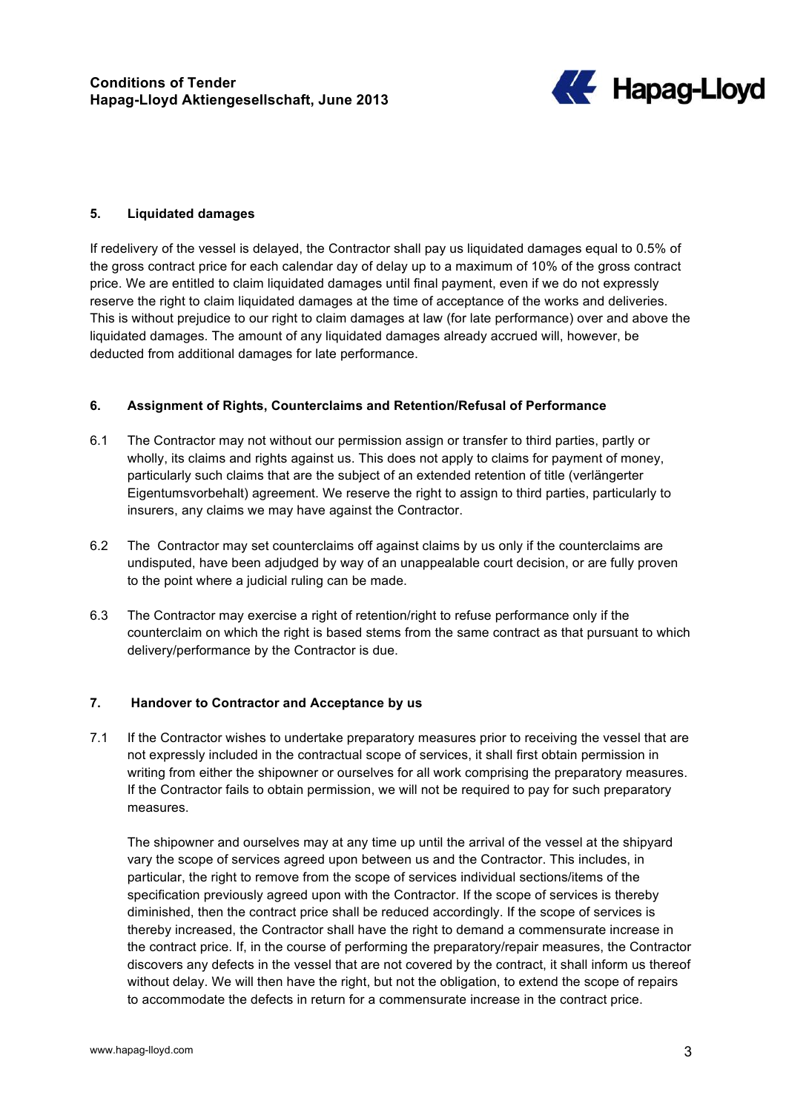

# **5. Liquidated damages**

If redelivery of the vessel is delayed, the Contractor shall pay us liquidated damages equal to 0.5% of the gross contract price for each calendar day of delay up to a maximum of 10% of the gross contract price. We are entitled to claim liquidated damages until final payment, even if we do not expressly reserve the right to claim liquidated damages at the time of acceptance of the works and deliveries. This is without prejudice to our right to claim damages at law (for late performance) over and above the liquidated damages. The amount of any liquidated damages already accrued will, however, be deducted from additional damages for late performance.

# **6. Assignment of Rights, Counterclaims and Retention/Refusal of Performance**

- 6.1 The Contractor may not without our permission assign or transfer to third parties, partly or wholly, its claims and rights against us. This does not apply to claims for payment of money, particularly such claims that are the subject of an extended retention of title (verlängerter Eigentumsvorbehalt) agreement. We reserve the right to assign to third parties, particularly to insurers, any claims we may have against the Contractor.
- 6.2 The Contractor may set counterclaims off against claims by us only if the counterclaims are undisputed, have been adjudged by way of an unappealable court decision, or are fully proven to the point where a judicial ruling can be made.
- 6.3 The Contractor may exercise a right of retention/right to refuse performance only if the counterclaim on which the right is based stems from the same contract as that pursuant to which delivery/performance by the Contractor is due.

#### **7. Handover to Contractor and Acceptance by us**

7.1 If the Contractor wishes to undertake preparatory measures prior to receiving the vessel that are not expressly included in the contractual scope of services, it shall first obtain permission in writing from either the shipowner or ourselves for all work comprising the preparatory measures. If the Contractor fails to obtain permission, we will not be required to pay for such preparatory measures.

The shipowner and ourselves may at any time up until the arrival of the vessel at the shipyard vary the scope of services agreed upon between us and the Contractor. This includes, in particular, the right to remove from the scope of services individual sections/items of the specification previously agreed upon with the Contractor. If the scope of services is thereby diminished, then the contract price shall be reduced accordingly. If the scope of services is thereby increased, the Contractor shall have the right to demand a commensurate increase in the contract price. If, in the course of performing the preparatory/repair measures, the Contractor discovers any defects in the vessel that are not covered by the contract, it shall inform us thereof without delay. We will then have the right, but not the obligation, to extend the scope of repairs to accommodate the defects in return for a commensurate increase in the contract price.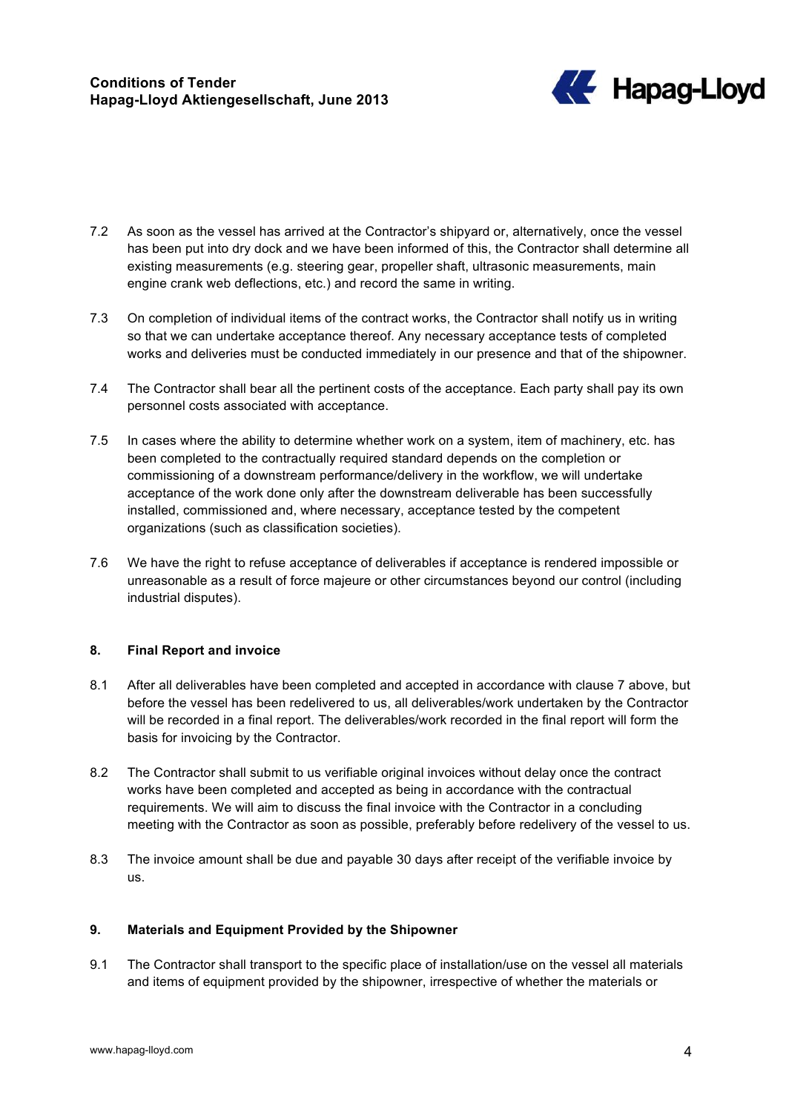

- 7.2 As soon as the vessel has arrived at the Contractor's shipyard or, alternatively, once the vessel has been put into dry dock and we have been informed of this, the Contractor shall determine all existing measurements (e.g. steering gear, propeller shaft, ultrasonic measurements, main engine crank web deflections, etc.) and record the same in writing.
- 7.3 On completion of individual items of the contract works, the Contractor shall notify us in writing so that we can undertake acceptance thereof. Any necessary acceptance tests of completed works and deliveries must be conducted immediately in our presence and that of the shipowner.
- 7.4 The Contractor shall bear all the pertinent costs of the acceptance. Each party shall pay its own personnel costs associated with acceptance.
- 7.5 In cases where the ability to determine whether work on a system, item of machinery, etc. has been completed to the contractually required standard depends on the completion or commissioning of a downstream performance/delivery in the workflow, we will undertake acceptance of the work done only after the downstream deliverable has been successfully installed, commissioned and, where necessary, acceptance tested by the competent organizations (such as classification societies).
- 7.6 We have the right to refuse acceptance of deliverables if acceptance is rendered impossible or unreasonable as a result of force majeure or other circumstances beyond our control (including industrial disputes).

# **8. Final Report and invoice**

- 8.1 After all deliverables have been completed and accepted in accordance with clause 7 above, but before the vessel has been redelivered to us, all deliverables/work undertaken by the Contractor will be recorded in a final report. The deliverables/work recorded in the final report will form the basis for invoicing by the Contractor.
- 8.2 The Contractor shall submit to us verifiable original invoices without delay once the contract works have been completed and accepted as being in accordance with the contractual requirements. We will aim to discuss the final invoice with the Contractor in a concluding meeting with the Contractor as soon as possible, preferably before redelivery of the vessel to us.
- 8.3 The invoice amount shall be due and payable 30 days after receipt of the verifiable invoice by us.

# **9. Materials and Equipment Provided by the Shipowner**

9.1 The Contractor shall transport to the specific place of installation/use on the vessel all materials and items of equipment provided by the shipowner, irrespective of whether the materials or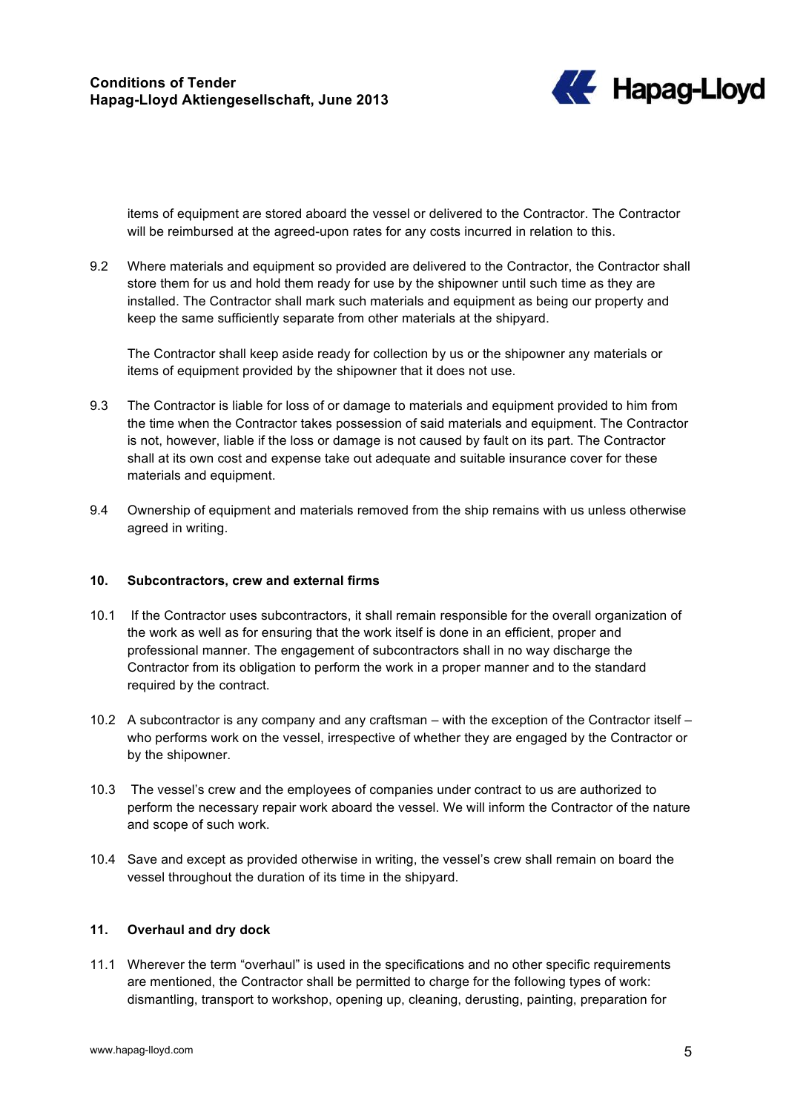

items of equipment are stored aboard the vessel or delivered to the Contractor. The Contractor will be reimbursed at the agreed-upon rates for any costs incurred in relation to this.

9.2 Where materials and equipment so provided are delivered to the Contractor, the Contractor shall store them for us and hold them ready for use by the shipowner until such time as they are installed. The Contractor shall mark such materials and equipment as being our property and keep the same sufficiently separate from other materials at the shipyard.

The Contractor shall keep aside ready for collection by us or the shipowner any materials or items of equipment provided by the shipowner that it does not use.

- 9.3 The Contractor is liable for loss of or damage to materials and equipment provided to him from the time when the Contractor takes possession of said materials and equipment. The Contractor is not, however, liable if the loss or damage is not caused by fault on its part. The Contractor shall at its own cost and expense take out adequate and suitable insurance cover for these materials and equipment.
- 9.4 Ownership of equipment and materials removed from the ship remains with us unless otherwise agreed in writing.

#### **10. Subcontractors, crew and external firms**

- 10.1 If the Contractor uses subcontractors, it shall remain responsible for the overall organization of the work as well as for ensuring that the work itself is done in an efficient, proper and professional manner. The engagement of subcontractors shall in no way discharge the Contractor from its obligation to perform the work in a proper manner and to the standard required by the contract.
- 10.2 A subcontractor is any company and any craftsman with the exception of the Contractor itself who performs work on the vessel, irrespective of whether they are engaged by the Contractor or by the shipowner.
- 10.3 The vessel's crew and the employees of companies under contract to us are authorized to perform the necessary repair work aboard the vessel. We will inform the Contractor of the nature and scope of such work.
- 10.4 Save and except as provided otherwise in writing, the vessel's crew shall remain on board the vessel throughout the duration of its time in the shipyard.

# **11. Overhaul and dry dock**

11.1 Wherever the term "overhaul" is used in the specifications and no other specific requirements are mentioned, the Contractor shall be permitted to charge for the following types of work: dismantling, transport to workshop, opening up, cleaning, derusting, painting, preparation for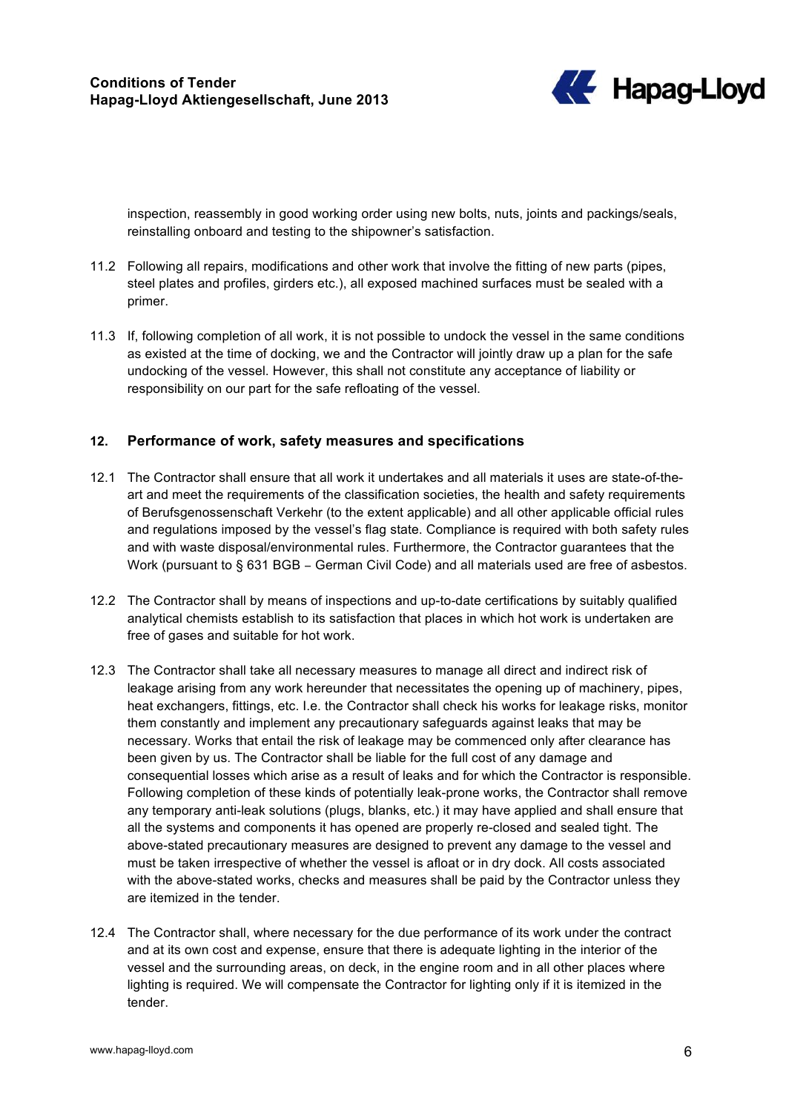

inspection, reassembly in good working order using new bolts, nuts, joints and packings/seals, reinstalling onboard and testing to the shipowner's satisfaction.

- 11.2 Following all repairs, modifications and other work that involve the fitting of new parts (pipes, steel plates and profiles, girders etc.), all exposed machined surfaces must be sealed with a primer.
- 11.3 If, following completion of all work, it is not possible to undock the vessel in the same conditions as existed at the time of docking, we and the Contractor will jointly draw up a plan for the safe undocking of the vessel. However, this shall not constitute any acceptance of liability or responsibility on our part for the safe refloating of the vessel.

# **12. Performance of work, safety measures and specifications**

- 12.1 The Contractor shall ensure that all work it undertakes and all materials it uses are state-of-theart and meet the requirements of the classification societies, the health and safety requirements of Berufsgenossenschaft Verkehr (to the extent applicable) and all other applicable official rules and regulations imposed by the vessel's flag state. Compliance is required with both safety rules and with waste disposal/environmental rules. Furthermore, the Contractor guarantees that the Work (pursuant to § 631 BGB – German Civil Code) and all materials used are free of asbestos.
- 12.2 The Contractor shall by means of inspections and up-to-date certifications by suitably qualified analytical chemists establish to its satisfaction that places in which hot work is undertaken are free of gases and suitable for hot work.
- 12.3 The Contractor shall take all necessary measures to manage all direct and indirect risk of leakage arising from any work hereunder that necessitates the opening up of machinery, pipes, heat exchangers, fittings, etc. I.e. the Contractor shall check his works for leakage risks, monitor them constantly and implement any precautionary safeguards against leaks that may be necessary. Works that entail the risk of leakage may be commenced only after clearance has been given by us. The Contractor shall be liable for the full cost of any damage and consequential losses which arise as a result of leaks and for which the Contractor is responsible. Following completion of these kinds of potentially leak-prone works, the Contractor shall remove any temporary anti-leak solutions (plugs, blanks, etc.) it may have applied and shall ensure that all the systems and components it has opened are properly re-closed and sealed tight. The above-stated precautionary measures are designed to prevent any damage to the vessel and must be taken irrespective of whether the vessel is afloat or in dry dock. All costs associated with the above-stated works, checks and measures shall be paid by the Contractor unless they are itemized in the tender.
- 12.4 The Contractor shall, where necessary for the due performance of its work under the contract and at its own cost and expense, ensure that there is adequate lighting in the interior of the vessel and the surrounding areas, on deck, in the engine room and in all other places where lighting is required. We will compensate the Contractor for lighting only if it is itemized in the tender.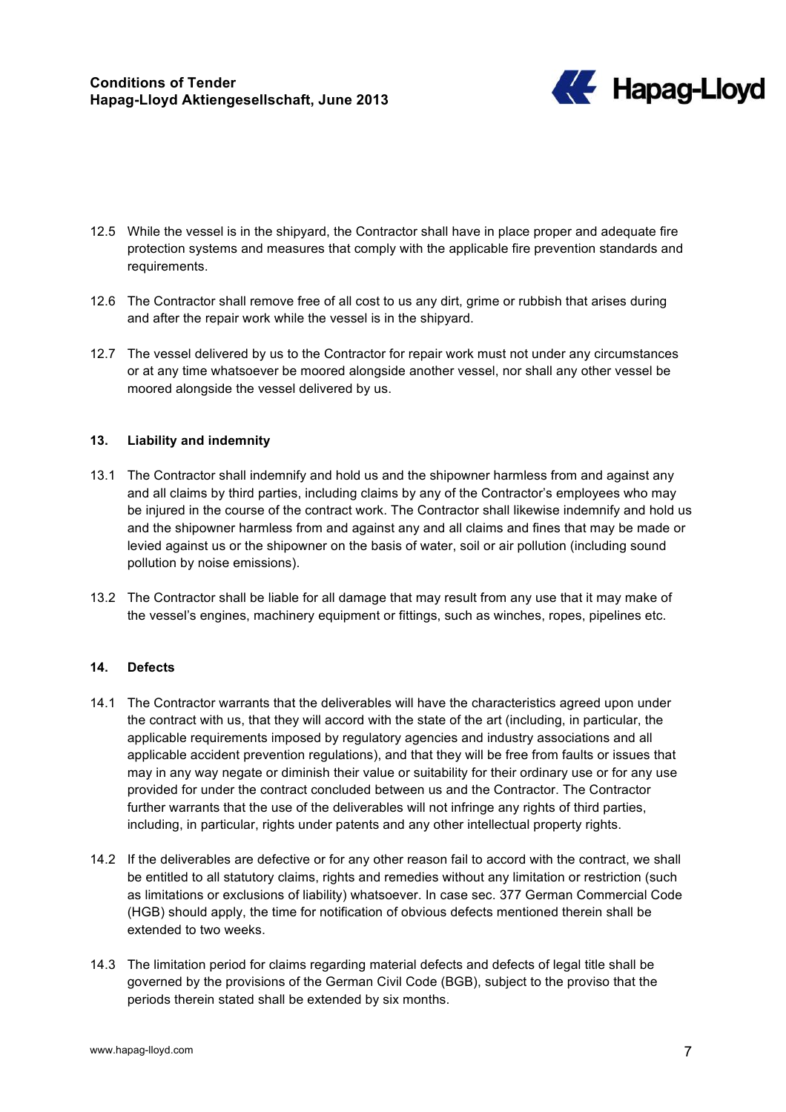

- 12.5 While the vessel is in the shipyard, the Contractor shall have in place proper and adequate fire protection systems and measures that comply with the applicable fire prevention standards and requirements.
- 12.6 The Contractor shall remove free of all cost to us any dirt, grime or rubbish that arises during and after the repair work while the vessel is in the shipyard.
- 12.7 The vessel delivered by us to the Contractor for repair work must not under any circumstances or at any time whatsoever be moored alongside another vessel, nor shall any other vessel be moored alongside the vessel delivered by us.

# **13. Liability and indemnity**

- 13.1 The Contractor shall indemnify and hold us and the shipowner harmless from and against any and all claims by third parties, including claims by any of the Contractor's employees who may be injured in the course of the contract work. The Contractor shall likewise indemnify and hold us and the shipowner harmless from and against any and all claims and fines that may be made or levied against us or the shipowner on the basis of water, soil or air pollution (including sound pollution by noise emissions).
- 13.2 The Contractor shall be liable for all damage that may result from any use that it may make of the vessel's engines, machinery equipment or fittings, such as winches, ropes, pipelines etc.

#### **14. Defects**

- 14.1 The Contractor warrants that the deliverables will have the characteristics agreed upon under the contract with us, that they will accord with the state of the art (including, in particular, the applicable requirements imposed by regulatory agencies and industry associations and all applicable accident prevention regulations), and that they will be free from faults or issues that may in any way negate or diminish their value or suitability for their ordinary use or for any use provided for under the contract concluded between us and the Contractor. The Contractor further warrants that the use of the deliverables will not infringe any rights of third parties, including, in particular, rights under patents and any other intellectual property rights.
- 14.2 If the deliverables are defective or for any other reason fail to accord with the contract, we shall be entitled to all statutory claims, rights and remedies without any limitation or restriction (such as limitations or exclusions of liability) whatsoever. In case sec. 377 German Commercial Code (HGB) should apply, the time for notification of obvious defects mentioned therein shall be extended to two weeks.
- 14.3 The limitation period for claims regarding material defects and defects of legal title shall be governed by the provisions of the German Civil Code (BGB), subject to the proviso that the periods therein stated shall be extended by six months.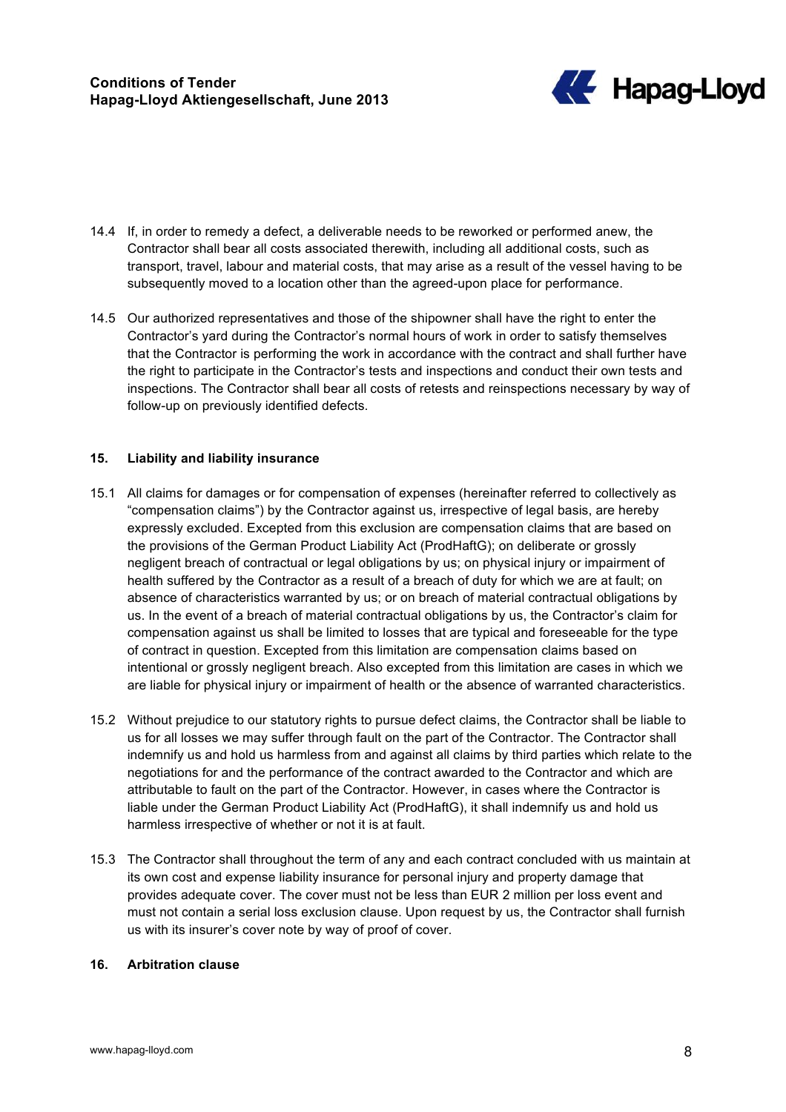

- 14.4 If, in order to remedy a defect, a deliverable needs to be reworked or performed anew, the Contractor shall bear all costs associated therewith, including all additional costs, such as transport, travel, labour and material costs, that may arise as a result of the vessel having to be subsequently moved to a location other than the agreed-upon place for performance.
- 14.5 Our authorized representatives and those of the shipowner shall have the right to enter the Contractor's yard during the Contractor's normal hours of work in order to satisfy themselves that the Contractor is performing the work in accordance with the contract and shall further have the right to participate in the Contractor's tests and inspections and conduct their own tests and inspections. The Contractor shall bear all costs of retests and reinspections necessary by way of follow-up on previously identified defects.

# **15. Liability and liability insurance**

- 15.1 All claims for damages or for compensation of expenses (hereinafter referred to collectively as "compensation claims") by the Contractor against us, irrespective of legal basis, are hereby expressly excluded. Excepted from this exclusion are compensation claims that are based on the provisions of the German Product Liability Act (ProdHaftG); on deliberate or grossly negligent breach of contractual or legal obligations by us; on physical injury or impairment of health suffered by the Contractor as a result of a breach of duty for which we are at fault; on absence of characteristics warranted by us; or on breach of material contractual obligations by us. In the event of a breach of material contractual obligations by us, the Contractor's claim for compensation against us shall be limited to losses that are typical and foreseeable for the type of contract in question. Excepted from this limitation are compensation claims based on intentional or grossly negligent breach. Also excepted from this limitation are cases in which we are liable for physical injury or impairment of health or the absence of warranted characteristics.
- 15.2 Without prejudice to our statutory rights to pursue defect claims, the Contractor shall be liable to us for all losses we may suffer through fault on the part of the Contractor. The Contractor shall indemnify us and hold us harmless from and against all claims by third parties which relate to the negotiations for and the performance of the contract awarded to the Contractor and which are attributable to fault on the part of the Contractor. However, in cases where the Contractor is liable under the German Product Liability Act (ProdHaftG), it shall indemnify us and hold us harmless irrespective of whether or not it is at fault.
- 15.3 The Contractor shall throughout the term of any and each contract concluded with us maintain at its own cost and expense liability insurance for personal injury and property damage that provides adequate cover. The cover must not be less than EUR 2 million per loss event and must not contain a serial loss exclusion clause. Upon request by us, the Contractor shall furnish us with its insurer's cover note by way of proof of cover.

# **16. Arbitration clause**